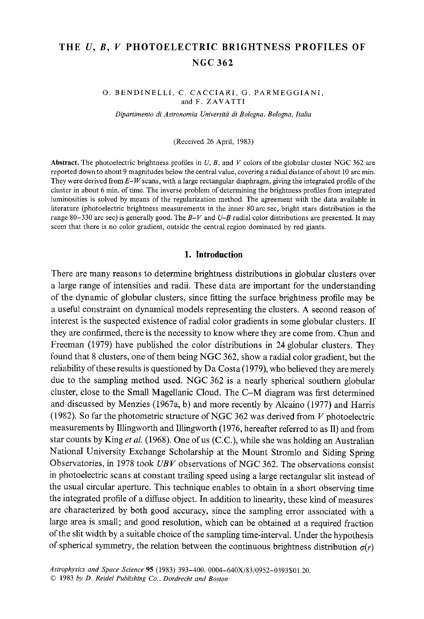# **THE U, B, V PHOTOELECTRIC BRIGHTNESS PROFILES OF NGC 362**

O. BENDINELLI, C. CACCIARI, G. PARMEGGIANI, and F. ZAVATTI

Dipartimento di Astronomia Università di Bologna, Bologna, Italia

(Received 26 April, 1983)

Abstract. The photoelectric brightness profiles in  $U$ ,  $B$ , and  $V$  colors of the globular cluster NGC 362 are reported down to about 9 magnitudes below the central value, covering a radial distance of about 10 arc min. They were derived from *E-W* scans, with a large rectangular diaphragm, giving the integrated profile of the cluster in about 6 min. of time. The inverse problem of determining the brightness profiles from integrated luminosities is solved by means of the regularization method. The agreement with the data available in literature (photoelectric brightness measurements in the inner 80 arc sec, bright stars distribution in the range 80-330 arc sec) is generally good. The *B-V* and *U-B* radial cglor distributions are presented. It may seem that there is no color gradient, outside the central region dominated by red giants.

#### **1. Introduction**

There are many reasons to determine brightness distributions in globular clusters over a large range of intensities and radii. These data are important for the understanding of the dynamic of globular clusters, since fitting the surface brightness profile may be a useful constraint on dynamical models representing the clusters. A second reason of interest is the suspected existence of radial color gradients in some globular clusters. If they are confirmed, there is the necessity to know where they are come from. Chun and Freeman (1979) have published the color distributions in 24 globular clusters. They found that 8 clusters, one of them being NGC 362, show a radial color gradient, but the reliability of these results is questioned by Da Costa (1979), who believed they are merely due to the sampling method used. NGC 362 is a nearly spherical southern globular cluster, close to the Small Magellanic Cloud. The C-M diagram was first determined and discussed by Menzies (1967a, b) and more recently by Alcaino (1977) and Harris (1982). So far the photometric structure of NGC 362 was derived from  $V$  photoelectric measurements by Illingworth and Illingworth (1976, hereafter referred to as I1) and from star counts by King *et aL* (1968). One of us (C.C.), while she was holding an Australian National University Exchange Scholarship at the Mount Stromlo and Siding Spring Observatories, in 1978 took *UBV* observations of NGC 362. The observations consist in photoelectric scans at constant trailing speed using a large rectangular slit instead of the usual circular aperture. This technique enables to obtain in a short observing time the integrated profile of a diffuse object. In addition to linearity, these kind of measures are characterized by both good accuracy, since the sampling error associated with a large area is small; and good resolution, which can be obtained at a required fraction of the slit width by a suitable choice of the sampling time-interval. Under the hypothesis of spherical symmetry, the relation between the continuous brightness distribution  $\sigma(r)$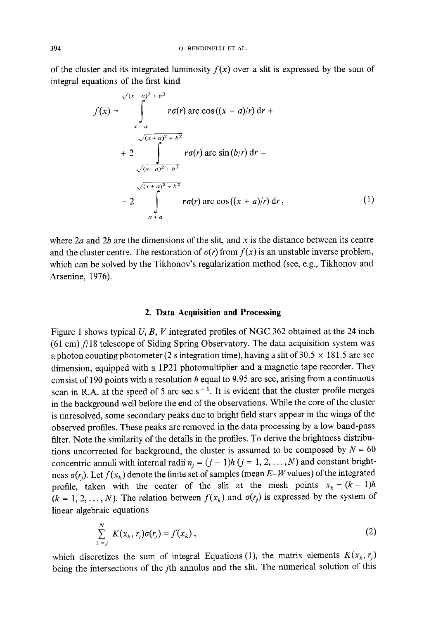of the cluster and its integrated luminosity  $f(x)$  over a slit is expressed by the sum of integral equations of the first kind

$$
f(x) = \int_{x-a}^{\sqrt{(x-a)^2 + b^2}} r\sigma(r) \arccos((x-a)/r) dr +
$$
  
+ 2 
$$
\int_{\sqrt{(x-a)^2 + b^2}}^{\sqrt{(x+a)^2 + b^2}} r\sigma(r) \arcsin(b/r) dr -
$$
  
- 2 
$$
\int_{x+a}^{\sqrt{(x+a)^2 + b^2}} r\sigma(r) \arccos((x+a)/r) dr,
$$
 (1)

where  $2a$  and  $2b$  are the dimensions of the slit, and x is the distance between its centre and the cluster centre. The restoration of  $\sigma(r)$  from  $f(x)$  is an unstable inverse problem, which can be solved by the Tikhonov's regularization method (see, e.g., Tikhonov and Arsenine, 1976).

## **2. Data Acquisition and Processing**

Figure 1 shows typical  $U, B, V$  integrated profiles of NGC 362 obtained at the 24 inch  $(61 \text{ cm})$   $f/18$  telescope of Siding Spring Observatory. The data acquisition system was a photon counting photometer (2 s integration time), having a slit of  $30.5 \times 181.5$  arc sec dimension, equipped with a 1P21 photomultiplier and a magnetic tape recorder. They consist of 190 points with a resolution h equal to 9.95 arc sec, arising from a continuous scan in R.A. at the speed of 5 arc sec  $s^{-1}$ . It is evident that the cluster profile merges in the background well before the end of the observations. While the core of the cluster is unresolved, some secondary peaks due to bright field stars appear in the wings of the observed profiles. These peaks are removed in the data processing by a low band-pass filter. Note the similarity of the details in the profiles. To derive the brightness distributions uncorrected for background, the cluster is assumed to be composed by  $N = 60$ concentric annuli with internal radii  $n_i = (j - 1)h$   $(j = 1, 2, ..., N)$  and constant brightness  $\sigma(r_i)$ . Let  $f(x_k)$  denote the finite set of samples (mean  $E-W$  values) of the integrated profile, taken with the center of the slit at the mesh points  $x_k = (k-1)h$  $(k = 1, 2, ..., N)$ . The relation between  $f(x_k)$  and  $\sigma(r_i)$  is expressed by the system of linear algebraic equations

$$
\sum_{1=j}^{N} K(x_k, r_j) \sigma(r_j) = f(x_k), \qquad (2)
$$

which discretizes the sum of integral Equations (1), the matrix elements  $K(x_k, r_j)$ being the intersections of the *j*th annulus and the slit. The numerical solution of this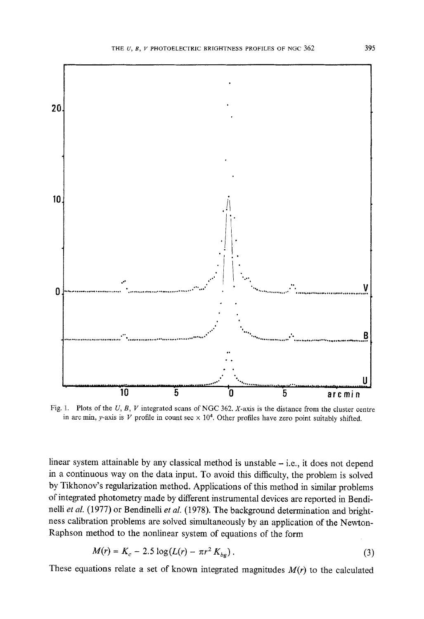

Fig. 1. Plots of the  $U, B, V$  integrated scans of NGC 362. X-axis is the distance from the cluster centre in arc min, y-axis is  $V$  profile in count sec  $\times$  10<sup>4</sup>. Other profiles have zero point suitably shifted.

linear system attainable by any classical method is unstable  $-$  i.e., it does not depend in a continuous way on the data input. To avoid this difficulty, the problem is solved by Tikhonov's regularization method. Applications of this method in similar problems of integrated photometry made by different instrumental devices are reported in BendineUi *et al.* (1977) or Bendinelli *et al.* (1978). The background determination and brightness calibration problems are solved simultaneously by an application of the Newton-Raphson method to the nonlinear system of equations of the form

$$
M(r) = K_c - 2.5 \log(L(r) - \pi r^2 K_{bg}). \tag{3}
$$

These equations relate a set of known integrated magnitudes  $M(r)$  to the calculated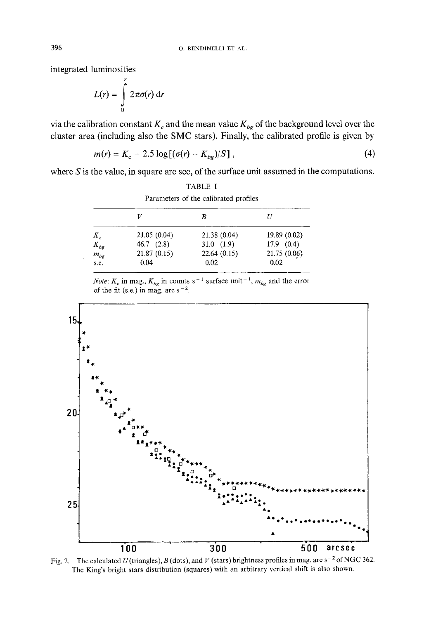integrated luminosities

$$
L(r) = \int_{0}^{r} 2\pi \sigma(r) dr
$$

via the calibration constant  $K_c$  and the mean value  $K_{bg}$  of the background level over the cluster area (including also the SMC stars). Finally, the calibrated profile is given by

$$
m(r) = K_c - 2.5 \log[(\sigma(r) - K_{bc})/S],
$$
 (4)

where  $S$  is the value, in square arc sec, of the surface unit assumed in the computations.

|                | В           |                |                               |
|----------------|-------------|----------------|-------------------------------|
| 19.89 (0.02)   | 21.38(0.04) | 21.05 (0.04)   |                               |
| $17.9$ $(0.4)$ | 31.0(1.9)   | $46.7$ $(2.8)$ |                               |
| 21.75 (0.06)   | 22.64(0.15) | 21.87 (0.15)   |                               |
| 0.02           | 0.02        | 0.04           | s.e.                          |
|                |             |                | $K_c$<br>$K_{bg}$<br>$m_{bg}$ |

TABLE I Parameters of the calibrated profiles

*Note:*  $K_c$  in mag.,  $K_{bg}$  in counts s<sup>-1</sup> surface unit<sup>-1</sup>,  $m_{bg}$  and the error of the fit (s.e.) in mag. arc  $s^{-2}$ .



Fig. 2. The calculated U (triangles), B (dots), and V (stars) brightness profiles in mag. arc s<sup>-2</sup> of NGC 362. The King's bright stars distribution (squares) with an arbitrary vertical shift is also shown.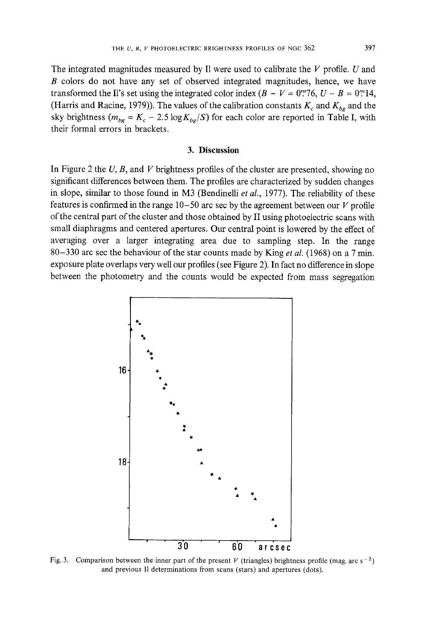The integrated magnitudes measured by Il were used to calibrate the  $V$  profile. U and B colors do not have any set of observed integrated magnitudes, hence, we have transformed the II's set using the integrated color index  $(B - V = 0^{m}76, U - B = 0^{m}14,$ (Harris and Racine, 1979)). The values of the calibration constants  $K_c$  and  $K_{ba}$  and the sky brightness  $(m_{bg} = K_c - 2.5 \log K_{bg}/S)$  for each color are reported in Table I, with their formal errors in brackets.

#### **3. Discussion**

In Figure 2 the  $U$ ,  $B$ , and  $V$  brightness profiles of the cluster are presented, showing no significant differences between them. The profiles are characterized by sudden changes in slope, similar to those found in M3 (Bendinelli *et al.,* 1977). The reliability of these features is confirmed in the range  $10-50$  arc sec by the agreement between our V profile of the central part of the cluster and those obtained by II using photoelectric scans with small diaphragms and centered apertures. Our central point is lowered by the effect of averaging over a larger integrating area due to sampling step. In the range 80-330 arc sec the behaviour of the star counts made by King *et al.* (1968) on a 7 min. exposure plate overlaps very well our profiles (see Figure 2). In fact no difference in slope between the photometry and the counts would be expected from mass segregation



Fig. 3. Comparison between the inner part of the present V (triangles) brightness profile (mag. arc  $s^{-2}$ ) and previous II determinations from scans (stars) and apertures (dots).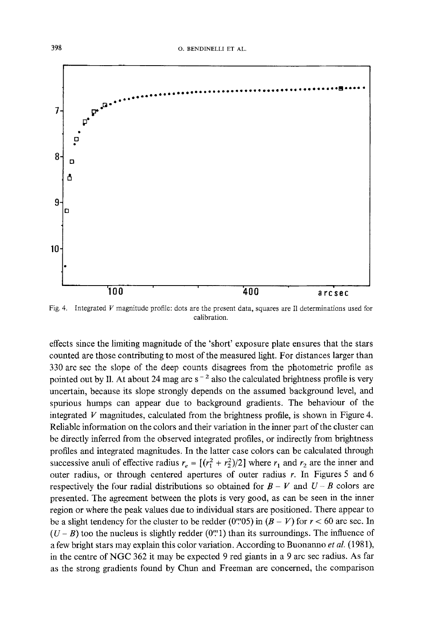

Fig. 4. Integrated V magnitude profile: dots are the present data, squares are I1 determinations used for calibration.

effects since the limiting magnitude of the 'short' exposure plate ensures that the stars counted are those contributing to most of the measured light. For distances larger than 330 arc sec the slope of the deep counts disagrees from the photometric profile as pointed out by Il. At about 24 mag arc  $s^{-2}$  also the calculated brightness profile is very uncertain, because its slope strongly depends on the assumed background level, and spurious humps can appear due to background gradients. The behaviour of the integrated  $V$  magnitudes, calculated from the brightness profile, is shown in Figure 4. Reliable information on the colors and their variation in the inner part of the cluster can be directly inferred from the observed integrated profiles, or indirectly from brightness profiles and integrated magnitudes. In the latter case colors can be calculated through successive anuli of effective radius  $r_e = [(r_1^2 + r_2^2)/2]$  where  $r_1$  and  $r_2$  are the inner and outer radius, or through centered apertures of outer radius  $r$ . In Figures 5 and 6 respectively the four radial distributions so obtained for  $B - V$  and  $U - B$  colors are presented. The agreement between the plots is very good, as can be seen in the inner region or where the peak values due to individual stars are positioned. There appear to be a slight tendency for the cluster to be redder (0.000 m ( $B - V$ ) for  $r < 60$  arc sec. In  $(U - B)$  too the nucleus is slightly redder (0".1) than its surroundings. The influence of a few bright stars may explain this color variation. According to Buonanno *et al.* (1981), in the centre of NGC 362 it may be expected 9 red giants in a 9 arc sec radius. As far as the strong gradients found by Chun and Freeman are concerned, the comparison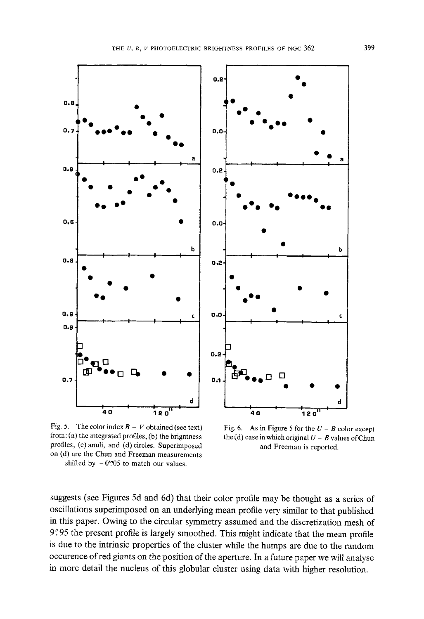

Fig. 5. The color index  $B - V$  obtained (see text) li'om: (a) the integrated profiles, (b) the brightness profiles, (c)anuli, and (d) circles. Superimposed on (d) are the Chun and Freeman measurements shifted by  $-0$ ".05 to match our values.

Fig. 6. As in Figure 5 for the  $U - B$  color except the (d) case in which original  $U - B$  values of Chun and Freeman is reported.

suggests (see Figures 5d and 6d) that their color profile may be thought as a series of oscillations superimposed on an underlying mean profile very similar to that published in this paper. Owing to the circular symmetry assumed and the discretization mesh of 9".95 the present profile is largely smoothed. This might indicate that the mean profile is due to the intrinsic properties of the cluster while the humps are due to the random occurence of red giants on the position of the aperture. In a future paper we will analyse in more detail the nucleus of this globular cluster using data with higher resolution.